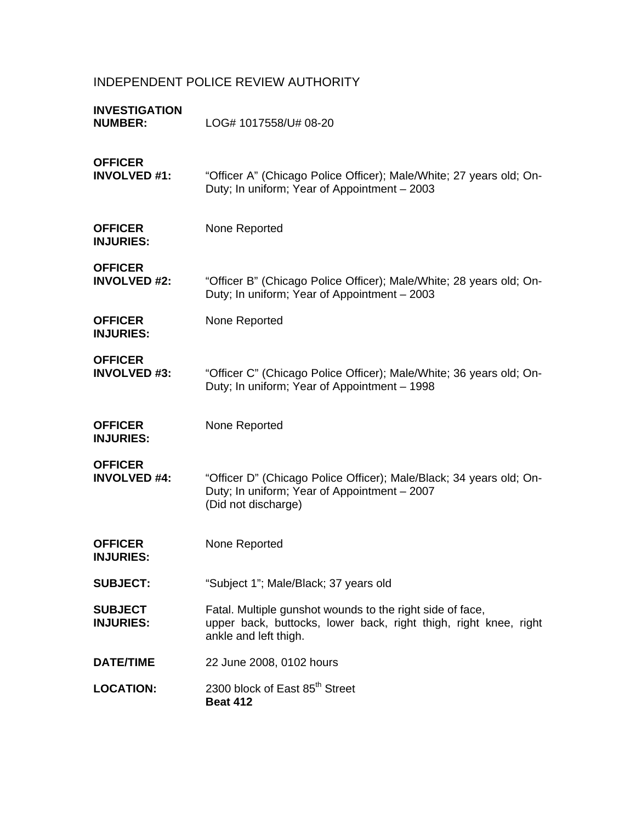# INDEPENDENT POLICE REVIEW AUTHORITY

| <b>INVESTIGATION</b><br><b>NUMBER:</b> | LOG# 1017558/U# 08-20                                                                                                                                  |
|----------------------------------------|--------------------------------------------------------------------------------------------------------------------------------------------------------|
| <b>OFFICER</b><br><b>INVOLVED #1:</b>  | "Officer A" (Chicago Police Officer); Male/White; 27 years old; On-<br>Duty; In uniform; Year of Appointment - 2003                                    |
| <b>OFFICER</b><br><b>INJURIES:</b>     | None Reported                                                                                                                                          |
| <b>OFFICER</b><br><b>INVOLVED #2:</b>  | "Officer B" (Chicago Police Officer); Male/White; 28 years old; On-<br>Duty; In uniform; Year of Appointment - 2003                                    |
| <b>OFFICER</b><br><b>INJURIES:</b>     | None Reported                                                                                                                                          |
| <b>OFFICER</b><br><b>INVOLVED #3:</b>  | "Officer C" (Chicago Police Officer); Male/White; 36 years old; On-<br>Duty; In uniform; Year of Appointment - 1998                                    |
| <b>OFFICER</b><br><b>INJURIES:</b>     | None Reported                                                                                                                                          |
| <b>OFFICER</b><br><b>INVOLVED #4:</b>  | "Officer D" (Chicago Police Officer); Male/Black; 34 years old; On-<br>Duty; In uniform; Year of Appointment - 2007<br>(Did not discharge)             |
| <b>OFFICER</b><br><b>INJURIES:</b>     | None Reported                                                                                                                                          |
| <b>SUBJECT:</b>                        | "Subject 1"; Male/Black; 37 years old                                                                                                                  |
| <b>SUBJECT</b><br><b>INJURIES:</b>     | Fatal. Multiple gunshot wounds to the right side of face,<br>upper back, buttocks, lower back, right thigh, right knee, right<br>ankle and left thigh. |
| <b>DATE/TIME</b>                       | 22 June 2008, 0102 hours                                                                                                                               |
| <b>LOCATION:</b>                       | 2300 block of East 85 <sup>th</sup> Street<br><b>Beat 412</b>                                                                                          |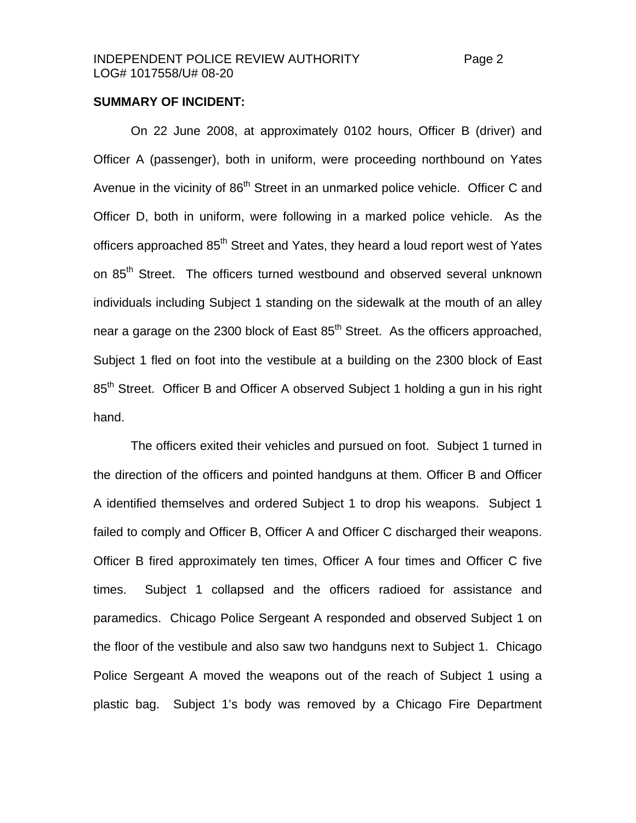#### **SUMMARY OF INCIDENT:**

 On 22 June 2008, at approximately 0102 hours, Officer B (driver) and Officer A (passenger), both in uniform, were proceeding northbound on Yates Avenue in the vicinity of 86<sup>th</sup> Street in an unmarked police vehicle. Officer C and Officer D, both in uniform, were following in a marked police vehicle. As the officers approached 85<sup>th</sup> Street and Yates, they heard a loud report west of Yates on 85<sup>th</sup> Street. The officers turned westbound and observed several unknown individuals including Subject 1 standing on the sidewalk at the mouth of an alley near a garage on the 2300 block of East  $85<sup>th</sup>$  Street. As the officers approached, Subject 1 fled on foot into the vestibule at a building on the 2300 block of East 85<sup>th</sup> Street. Officer B and Officer A observed Subject 1 holding a gun in his right hand.

 The officers exited their vehicles and pursued on foot. Subject 1 turned in the direction of the officers and pointed handguns at them. Officer B and Officer A identified themselves and ordered Subject 1 to drop his weapons. Subject 1 failed to comply and Officer B, Officer A and Officer C discharged their weapons. Officer B fired approximately ten times, Officer A four times and Officer C five times. Subject 1 collapsed and the officers radioed for assistance and paramedics. Chicago Police Sergeant A responded and observed Subject 1 on the floor of the vestibule and also saw two handguns next to Subject 1. Chicago Police Sergeant A moved the weapons out of the reach of Subject 1 using a plastic bag. Subject 1's body was removed by a Chicago Fire Department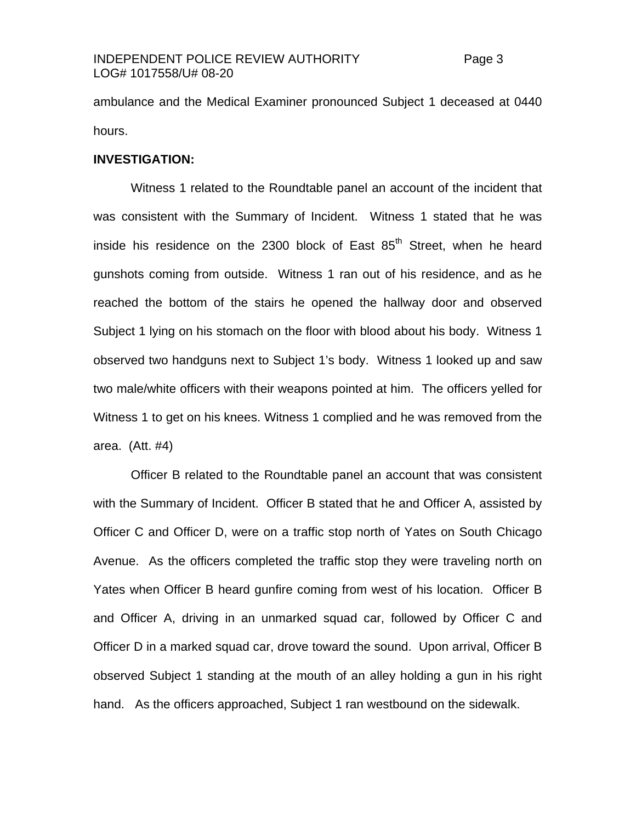#### INDEPENDENT POLICE REVIEW AUTHORITY Page 3 LOG# 1017558/U# 08-20

ambulance and the Medical Examiner pronounced Subject 1 deceased at 0440 hours.

#### **INVESTIGATION:**

Witness 1 related to the Roundtable panel an account of the incident that was consistent with the Summary of Incident. Witness 1 stated that he was inside his residence on the 2300 block of East  $85<sup>th</sup>$  Street, when he heard gunshots coming from outside. Witness 1 ran out of his residence, and as he reached the bottom of the stairs he opened the hallway door and observed Subject 1 lying on his stomach on the floor with blood about his body. Witness 1 observed two handguns next to Subject 1's body. Witness 1 looked up and saw two male/white officers with their weapons pointed at him. The officers yelled for Witness 1 to get on his knees. Witness 1 complied and he was removed from the area. (Att. #4)

Officer B related to the Roundtable panel an account that was consistent with the Summary of Incident. Officer B stated that he and Officer A, assisted by Officer C and Officer D, were on a traffic stop north of Yates on South Chicago Avenue. As the officers completed the traffic stop they were traveling north on Yates when Officer B heard gunfire coming from west of his location. Officer B and Officer A, driving in an unmarked squad car, followed by Officer C and Officer D in a marked squad car, drove toward the sound. Upon arrival, Officer B observed Subject 1 standing at the mouth of an alley holding a gun in his right hand. As the officers approached, Subject 1 ran westbound on the sidewalk.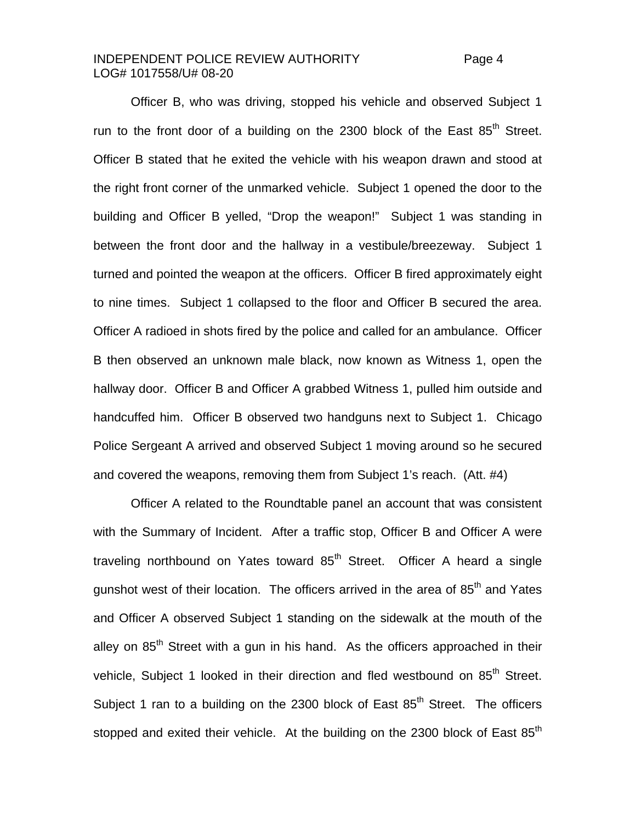#### INDEPENDENT POLICE REVIEW AUTHORITY Page 4 LOG# 1017558/U# 08-20

Officer B, who was driving, stopped his vehicle and observed Subject 1 run to the front door of a building on the 2300 block of the East  $85<sup>th</sup>$  Street. Officer B stated that he exited the vehicle with his weapon drawn and stood at the right front corner of the unmarked vehicle. Subject 1 opened the door to the building and Officer B yelled, "Drop the weapon!" Subject 1 was standing in between the front door and the hallway in a vestibule/breezeway. Subject 1 turned and pointed the weapon at the officers. Officer B fired approximately eight to nine times. Subject 1 collapsed to the floor and Officer B secured the area. Officer A radioed in shots fired by the police and called for an ambulance. Officer B then observed an unknown male black, now known as Witness 1, open the hallway door. Officer B and Officer A grabbed Witness 1, pulled him outside and handcuffed him. Officer B observed two handguns next to Subject 1. Chicago Police Sergeant A arrived and observed Subject 1 moving around so he secured and covered the weapons, removing them from Subject 1's reach. (Att. #4)

Officer A related to the Roundtable panel an account that was consistent with the Summary of Incident. After a traffic stop, Officer B and Officer A were traveling northbound on Yates toward  $85<sup>th</sup>$  Street. Officer A heard a single gunshot west of their location. The officers arrived in the area of  $85<sup>th</sup>$  and Yates and Officer A observed Subject 1 standing on the sidewalk at the mouth of the alley on  $85<sup>th</sup>$  Street with a gun in his hand. As the officers approached in their vehicle, Subject 1 looked in their direction and fled westbound on 85<sup>th</sup> Street. Subject 1 ran to a building on the 2300 block of East  $85<sup>th</sup>$  Street. The officers stopped and exited their vehicle. At the building on the 2300 block of East  $85<sup>th</sup>$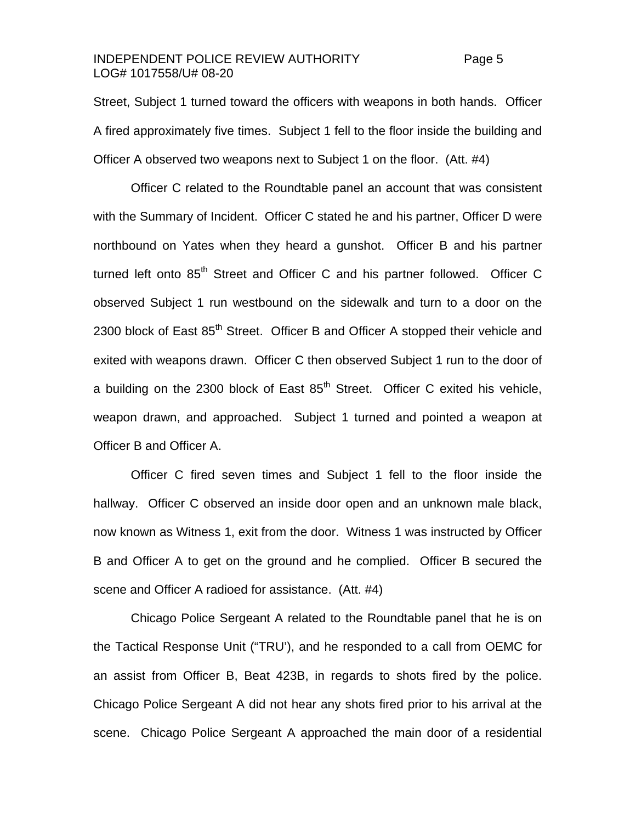#### INDEPENDENT POLICE REVIEW AUTHORITY Page 5 LOG# 1017558/U# 08-20

Street, Subject 1 turned toward the officers with weapons in both hands. Officer A fired approximately five times. Subject 1 fell to the floor inside the building and Officer A observed two weapons next to Subject 1 on the floor. (Att. #4)

 Officer C related to the Roundtable panel an account that was consistent with the Summary of Incident. Officer C stated he and his partner, Officer D were northbound on Yates when they heard a gunshot. Officer B and his partner turned left onto 85<sup>th</sup> Street and Officer C and his partner followed. Officer C observed Subject 1 run westbound on the sidewalk and turn to a door on the 2300 block of East 85<sup>th</sup> Street. Officer B and Officer A stopped their vehicle and exited with weapons drawn. Officer C then observed Subject 1 run to the door of a building on the 2300 block of East  $85<sup>th</sup>$  Street. Officer C exited his vehicle, weapon drawn, and approached. Subject 1 turned and pointed a weapon at Officer B and Officer A.

 Officer C fired seven times and Subject 1 fell to the floor inside the hallway. Officer C observed an inside door open and an unknown male black, now known as Witness 1, exit from the door. Witness 1 was instructed by Officer B and Officer A to get on the ground and he complied. Officer B secured the scene and Officer A radioed for assistance. (Att. #4)

Chicago Police Sergeant A related to the Roundtable panel that he is on the Tactical Response Unit ("TRU'), and he responded to a call from OEMC for an assist from Officer B, Beat 423B, in regards to shots fired by the police. Chicago Police Sergeant A did not hear any shots fired prior to his arrival at the scene. Chicago Police Sergeant A approached the main door of a residential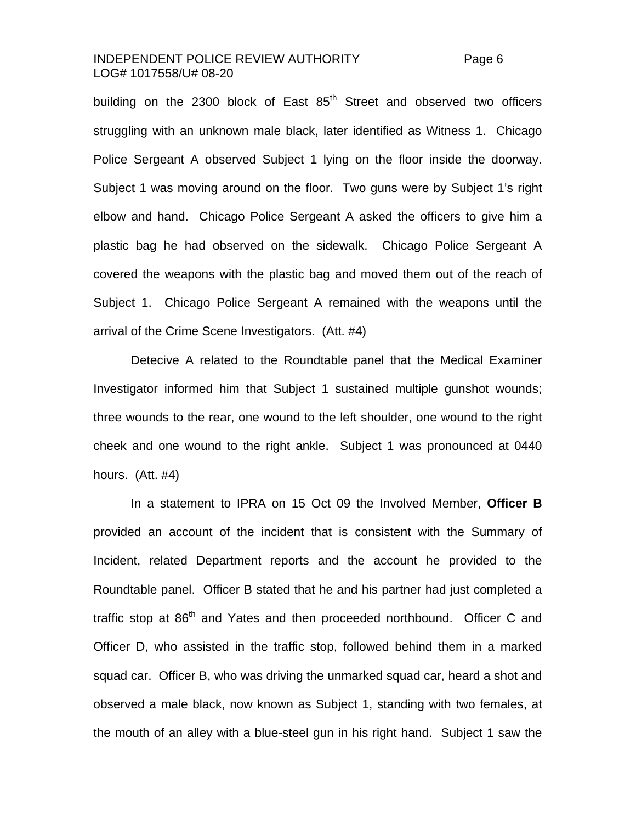### INDEPENDENT POLICE REVIEW AUTHORITY Page 6 LOG# 1017558/U# 08-20

building on the 2300 block of East 85<sup>th</sup> Street and observed two officers struggling with an unknown male black, later identified as Witness 1. Chicago Police Sergeant A observed Subject 1 lying on the floor inside the doorway. Subject 1 was moving around on the floor. Two guns were by Subject 1's right elbow and hand. Chicago Police Sergeant A asked the officers to give him a plastic bag he had observed on the sidewalk. Chicago Police Sergeant A covered the weapons with the plastic bag and moved them out of the reach of Subject 1. Chicago Police Sergeant A remained with the weapons until the arrival of the Crime Scene Investigators. (Att. #4)

Detecive A related to the Roundtable panel that the Medical Examiner Investigator informed him that Subject 1 sustained multiple gunshot wounds; three wounds to the rear, one wound to the left shoulder, one wound to the right cheek and one wound to the right ankle. Subject 1 was pronounced at 0440 hours. (Att. #4)

 In a statement to IPRA on 15 Oct 09 the Involved Member, **Officer B** provided an account of the incident that is consistent with the Summary of Incident, related Department reports and the account he provided to the Roundtable panel. Officer B stated that he and his partner had just completed a traffic stop at 86<sup>th</sup> and Yates and then proceeded northbound. Officer C and Officer D, who assisted in the traffic stop, followed behind them in a marked squad car. Officer B, who was driving the unmarked squad car, heard a shot and observed a male black, now known as Subject 1, standing with two females, at the mouth of an alley with a blue-steel gun in his right hand. Subject 1 saw the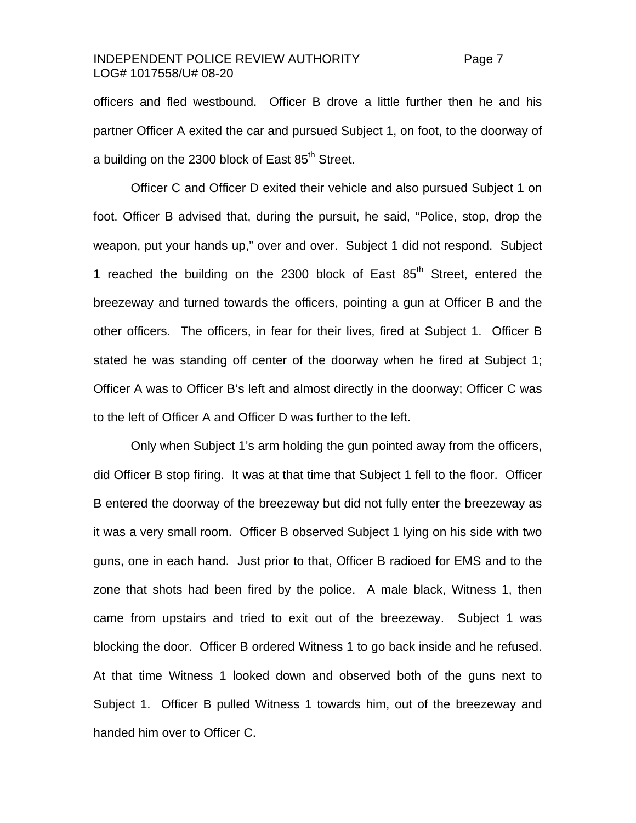### INDEPENDENT POLICE REVIEW AUTHORITY Page 7 LOG# 1017558/U# 08-20

officers and fled westbound. Officer B drove a little further then he and his partner Officer A exited the car and pursued Subject 1, on foot, to the doorway of a building on the 2300 block of East 85<sup>th</sup> Street.

Officer C and Officer D exited their vehicle and also pursued Subject 1 on foot. Officer B advised that, during the pursuit, he said, "Police, stop, drop the weapon, put your hands up," over and over. Subject 1 did not respond. Subject 1 reached the building on the 2300 block of East  $85<sup>th</sup>$  Street, entered the breezeway and turned towards the officers, pointing a gun at Officer B and the other officers. The officers, in fear for their lives, fired at Subject 1. Officer B stated he was standing off center of the doorway when he fired at Subject 1; Officer A was to Officer B's left and almost directly in the doorway; Officer C was to the left of Officer A and Officer D was further to the left.

Only when Subject 1's arm holding the gun pointed away from the officers, did Officer B stop firing. It was at that time that Subject 1 fell to the floor. Officer B entered the doorway of the breezeway but did not fully enter the breezeway as it was a very small room. Officer B observed Subject 1 lying on his side with two guns, one in each hand. Just prior to that, Officer B radioed for EMS and to the zone that shots had been fired by the police. A male black, Witness 1, then came from upstairs and tried to exit out of the breezeway. Subject 1 was blocking the door. Officer B ordered Witness 1 to go back inside and he refused. At that time Witness 1 looked down and observed both of the guns next to Subject 1. Officer B pulled Witness 1 towards him, out of the breezeway and handed him over to Officer C.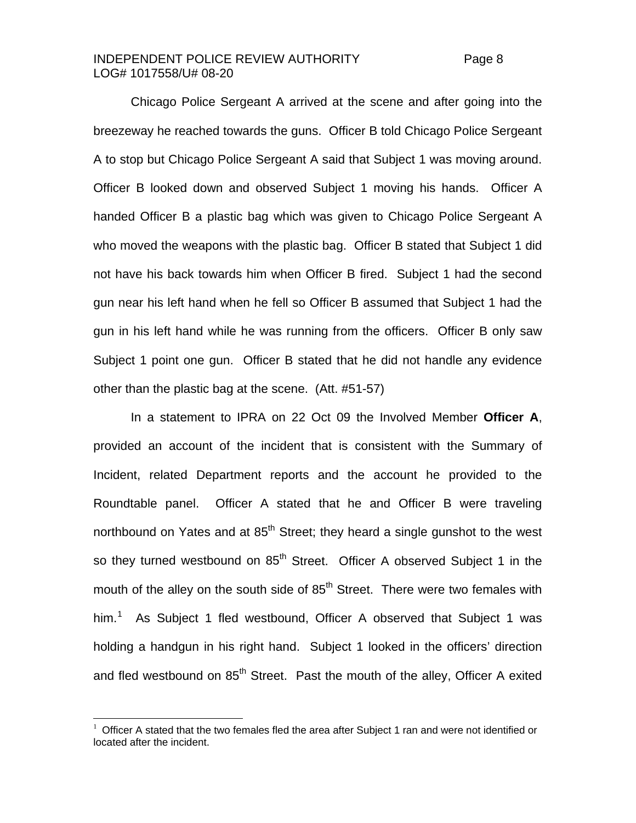#### INDEPENDENT POLICE REVIEW AUTHORITY Page 8 LOG# 1017558/U# 08-20

 Chicago Police Sergeant A arrived at the scene and after going into the breezeway he reached towards the guns. Officer B told Chicago Police Sergeant A to stop but Chicago Police Sergeant A said that Subject 1 was moving around. Officer B looked down and observed Subject 1 moving his hands. Officer A handed Officer B a plastic bag which was given to Chicago Police Sergeant A who moved the weapons with the plastic bag. Officer B stated that Subject 1 did not have his back towards him when Officer B fired. Subject 1 had the second gun near his left hand when he fell so Officer B assumed that Subject 1 had the gun in his left hand while he was running from the officers. Officer B only saw Subject 1 point one gun. Officer B stated that he did not handle any evidence other than the plastic bag at the scene. (Att. #51-57)

 In a statement to IPRA on 22 Oct 09 the Involved Member **Officer A**, provided an account of the incident that is consistent with the Summary of Incident, related Department reports and the account he provided to the Roundtable panel. Officer A stated that he and Officer B were traveling northbound on Yates and at  $85<sup>th</sup>$  Street; they heard a single gunshot to the west so they turned westbound on 85<sup>th</sup> Street. Officer A observed Subject 1 in the mouth of the alley on the south side of  $85<sup>th</sup>$  Street. There were two females with him.<sup>[1](#page-7-0)</sup> As Subject 1 fled westbound, Officer A observed that Subject 1 was holding a handgun in his right hand. Subject 1 looked in the officers' direction and fled westbound on  $85<sup>th</sup>$  Street. Past the mouth of the alley, Officer A exited

<span id="page-7-0"></span><sup>1</sup> Officer A stated that the two females fled the area after Subject 1 ran and were not identified or located after the incident.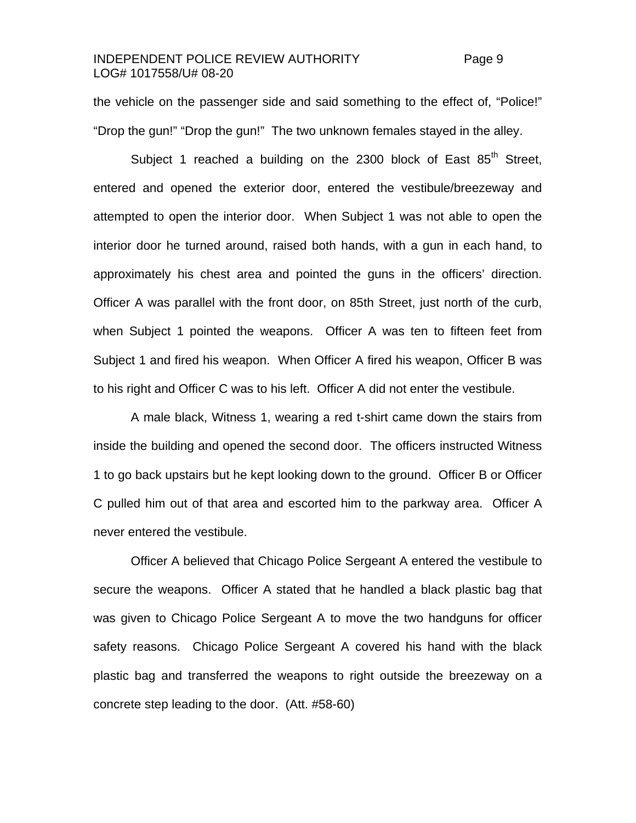#### INDEPENDENT POLICE REVIEW AUTHORITY Page 9 LOG# 1017558/U# 08-20

the vehicle on the passenger side and said something to the effect of, "Police!" "Drop the gun!" "Drop the gun!" The two unknown females stayed in the alley.

Subject 1 reached a building on the 2300 block of East  $85<sup>th</sup>$  Street, entered and opened the exterior door, entered the vestibule/breezeway and attempted to open the interior door. When Subject 1 was not able to open the interior door he turned around, raised both hands, with a gun in each hand, to approximately his chest area and pointed the guns in the officers' direction. Officer A was parallel with the front door, on 85th Street, just north of the curb, when Subject 1 pointed the weapons. Officer A was ten to fifteen feet from Subject 1 and fired his weapon. When Officer A fired his weapon, Officer B was to his right and Officer C was to his left. Officer A did not enter the vestibule.

 A male black, Witness 1, wearing a red t-shirt came down the stairs from inside the building and opened the second door. The officers instructed Witness 1 to go back upstairs but he kept looking down to the ground. Officer B or Officer C pulled him out of that area and escorted him to the parkway area. Officer A never entered the vestibule.

 Officer A believed that Chicago Police Sergeant A entered the vestibule to secure the weapons. Officer A stated that he handled a black plastic bag that was given to Chicago Police Sergeant A to move the two handguns for officer safety reasons. Chicago Police Sergeant A covered his hand with the black plastic bag and transferred the weapons to right outside the breezeway on a concrete step leading to the door. (Att. #58-60)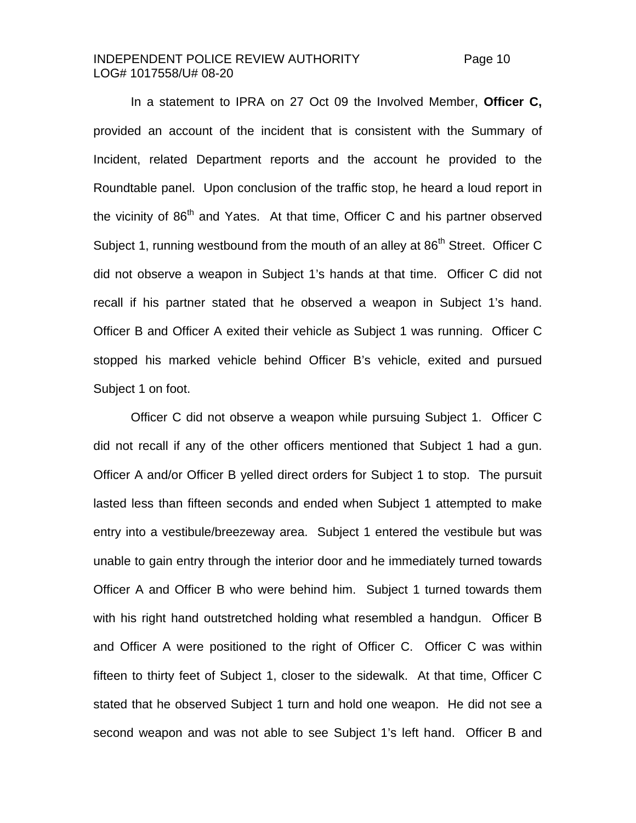#### INDEPENDENT POLICE REVIEW AUTHORITY Page 10 LOG# 1017558/U# 08-20

 In a statement to IPRA on 27 Oct 09 the Involved Member, **Officer C,**  provided an account of the incident that is consistent with the Summary of Incident, related Department reports and the account he provided to the Roundtable panel. Upon conclusion of the traffic stop, he heard a loud report in the vicinity of 86<sup>th</sup> and Yates. At that time, Officer C and his partner observed Subject 1, running westbound from the mouth of an alley at 86<sup>th</sup> Street. Officer C did not observe a weapon in Subject 1's hands at that time. Officer C did not recall if his partner stated that he observed a weapon in Subject 1's hand. Officer B and Officer A exited their vehicle as Subject 1 was running. Officer C stopped his marked vehicle behind Officer B's vehicle, exited and pursued Subject 1 on foot.

 Officer C did not observe a weapon while pursuing Subject 1. Officer C did not recall if any of the other officers mentioned that Subject 1 had a gun. Officer A and/or Officer B yelled direct orders for Subject 1 to stop. The pursuit lasted less than fifteen seconds and ended when Subject 1 attempted to make entry into a vestibule/breezeway area. Subject 1 entered the vestibule but was unable to gain entry through the interior door and he immediately turned towards Officer A and Officer B who were behind him. Subject 1 turned towards them with his right hand outstretched holding what resembled a handgun. Officer B and Officer A were positioned to the right of Officer C. Officer C was within fifteen to thirty feet of Subject 1, closer to the sidewalk. At that time, Officer C stated that he observed Subject 1 turn and hold one weapon. He did not see a second weapon and was not able to see Subject 1's left hand. Officer B and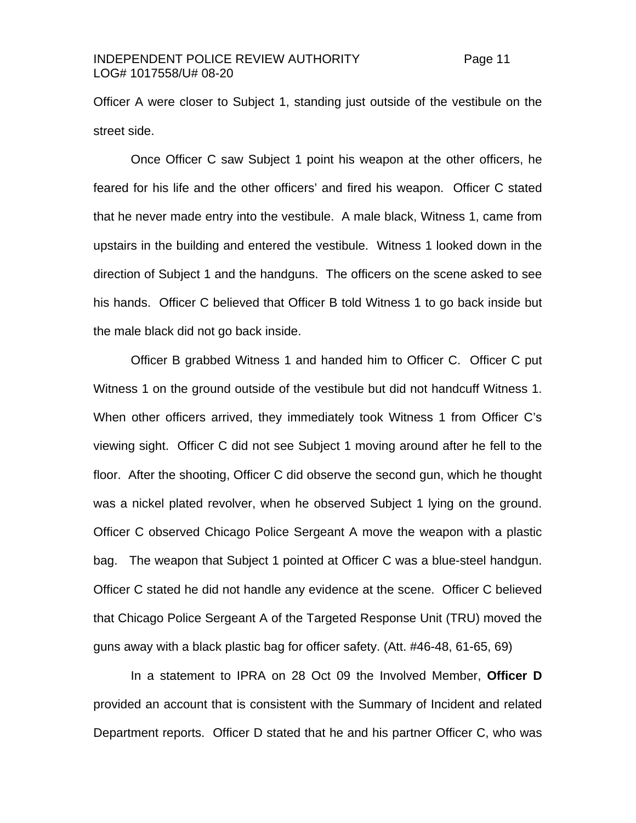Officer A were closer to Subject 1, standing just outside of the vestibule on the street side.

 Once Officer C saw Subject 1 point his weapon at the other officers, he feared for his life and the other officers' and fired his weapon. Officer C stated that he never made entry into the vestibule. A male black, Witness 1, came from upstairs in the building and entered the vestibule. Witness 1 looked down in the direction of Subject 1 and the handguns. The officers on the scene asked to see his hands. Officer C believed that Officer B told Witness 1 to go back inside but the male black did not go back inside.

 Officer B grabbed Witness 1 and handed him to Officer C. Officer C put Witness 1 on the ground outside of the vestibule but did not handcuff Witness 1. When other officers arrived, they immediately took Witness 1 from Officer C's viewing sight. Officer C did not see Subject 1 moving around after he fell to the floor. After the shooting, Officer C did observe the second gun, which he thought was a nickel plated revolver, when he observed Subject 1 lying on the ground. Officer C observed Chicago Police Sergeant A move the weapon with a plastic bag. The weapon that Subject 1 pointed at Officer C was a blue-steel handgun. Officer C stated he did not handle any evidence at the scene. Officer C believed that Chicago Police Sergeant A of the Targeted Response Unit (TRU) moved the guns away with a black plastic bag for officer safety. (Att. #46-48, 61-65, 69)

In a statement to IPRA on 28 Oct 09 the Involved Member, **Officer D**  provided an account that is consistent with the Summary of Incident and related Department reports. Officer D stated that he and his partner Officer C, who was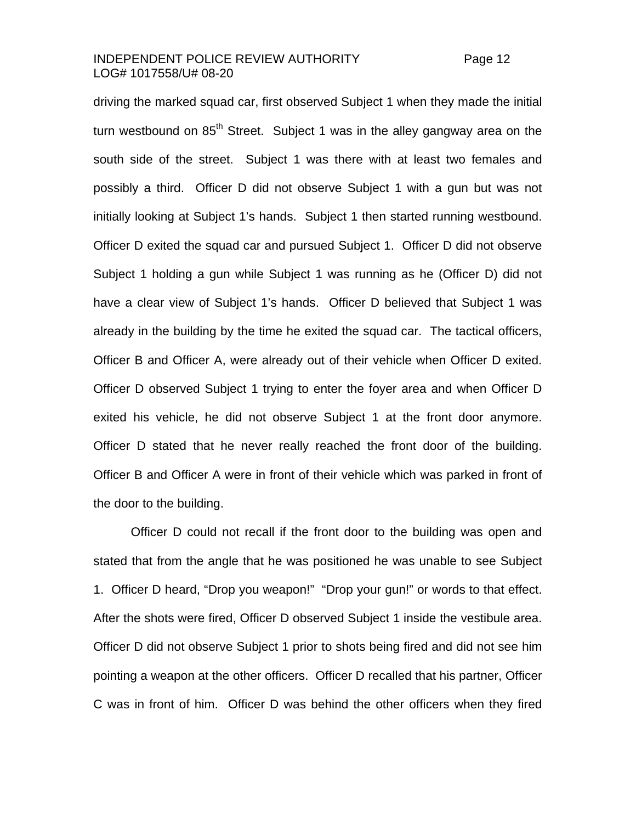### INDEPENDENT POLICE REVIEW AUTHORITY Page 12 LOG# 1017558/U# 08-20

driving the marked squad car, first observed Subject 1 when they made the initial turn westbound on  $85<sup>th</sup>$  Street. Subject 1 was in the alley gangway area on the south side of the street. Subject 1 was there with at least two females and possibly a third. Officer D did not observe Subject 1 with a gun but was not initially looking at Subject 1's hands. Subject 1 then started running westbound. Officer D exited the squad car and pursued Subject 1. Officer D did not observe Subject 1 holding a gun while Subject 1 was running as he (Officer D) did not have a clear view of Subject 1's hands. Officer D believed that Subject 1 was already in the building by the time he exited the squad car. The tactical officers, Officer B and Officer A, were already out of their vehicle when Officer D exited. Officer D observed Subject 1 trying to enter the foyer area and when Officer D exited his vehicle, he did not observe Subject 1 at the front door anymore. Officer D stated that he never really reached the front door of the building. Officer B and Officer A were in front of their vehicle which was parked in front of the door to the building.

 Officer D could not recall if the front door to the building was open and stated that from the angle that he was positioned he was unable to see Subject 1. Officer D heard, "Drop you weapon!" "Drop your gun!" or words to that effect. After the shots were fired, Officer D observed Subject 1 inside the vestibule area. Officer D did not observe Subject 1 prior to shots being fired and did not see him pointing a weapon at the other officers. Officer D recalled that his partner, Officer C was in front of him. Officer D was behind the other officers when they fired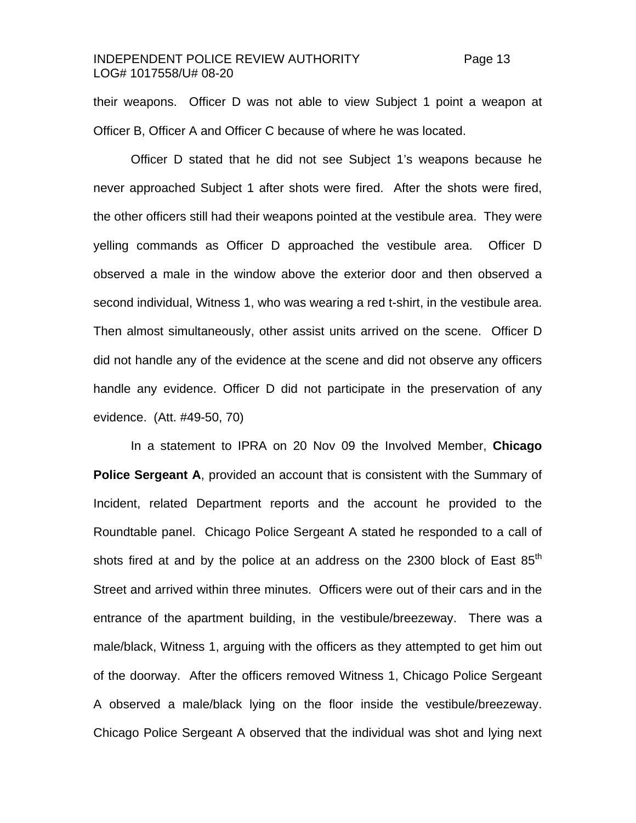### INDEPENDENT POLICE REVIEW AUTHORITY Page 13 LOG# 1017558/U# 08-20

their weapons. Officer D was not able to view Subject 1 point a weapon at Officer B, Officer A and Officer C because of where he was located.

 Officer D stated that he did not see Subject 1's weapons because he never approached Subject 1 after shots were fired. After the shots were fired, the other officers still had their weapons pointed at the vestibule area. They were yelling commands as Officer D approached the vestibule area. Officer D observed a male in the window above the exterior door and then observed a second individual, Witness 1, who was wearing a red t-shirt, in the vestibule area. Then almost simultaneously, other assist units arrived on the scene. Officer D did not handle any of the evidence at the scene and did not observe any officers handle any evidence. Officer D did not participate in the preservation of any evidence. (Att. #49-50, 70)

 In a statement to IPRA on 20 Nov 09 the Involved Member, **Chicago Police Sergeant A**, provided an account that is consistent with the Summary of Incident, related Department reports and the account he provided to the Roundtable panel. Chicago Police Sergeant A stated he responded to a call of shots fired at and by the police at an address on the 2300 block of East  $85<sup>th</sup>$ Street and arrived within three minutes. Officers were out of their cars and in the entrance of the apartment building, in the vestibule/breezeway. There was a male/black, Witness 1, arguing with the officers as they attempted to get him out of the doorway. After the officers removed Witness 1, Chicago Police Sergeant A observed a male/black lying on the floor inside the vestibule/breezeway. Chicago Police Sergeant A observed that the individual was shot and lying next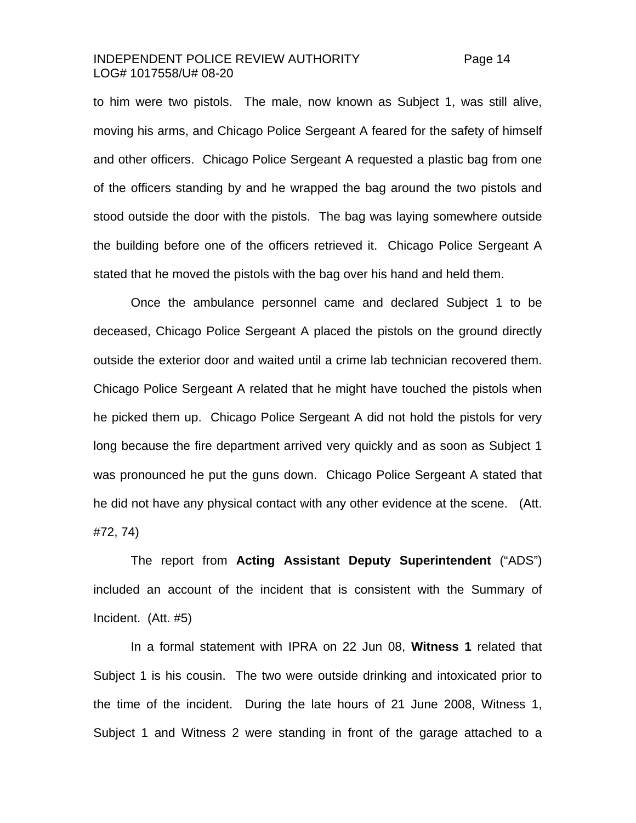#### INDEPENDENT POLICE REVIEW AUTHORITY Page 14 LOG# 1017558/U# 08-20

to him were two pistols. The male, now known as Subject 1, was still alive, moving his arms, and Chicago Police Sergeant A feared for the safety of himself and other officers. Chicago Police Sergeant A requested a plastic bag from one of the officers standing by and he wrapped the bag around the two pistols and stood outside the door with the pistols. The bag was laying somewhere outside the building before one of the officers retrieved it. Chicago Police Sergeant A stated that he moved the pistols with the bag over his hand and held them.

 Once the ambulance personnel came and declared Subject 1 to be deceased, Chicago Police Sergeant A placed the pistols on the ground directly outside the exterior door and waited until a crime lab technician recovered them. Chicago Police Sergeant A related that he might have touched the pistols when he picked them up. Chicago Police Sergeant A did not hold the pistols for very long because the fire department arrived very quickly and as soon as Subject 1 was pronounced he put the guns down. Chicago Police Sergeant A stated that he did not have any physical contact with any other evidence at the scene. (Att. #72, 74)

 The report from **Acting Assistant Deputy Superintendent** ("ADS") included an account of the incident that is consistent with the Summary of Incident. (Att. #5)

 In a formal statement with IPRA on 22 Jun 08, **Witness 1** related that Subject 1 is his cousin. The two were outside drinking and intoxicated prior to the time of the incident. During the late hours of 21 June 2008, Witness 1, Subject 1 and Witness 2 were standing in front of the garage attached to a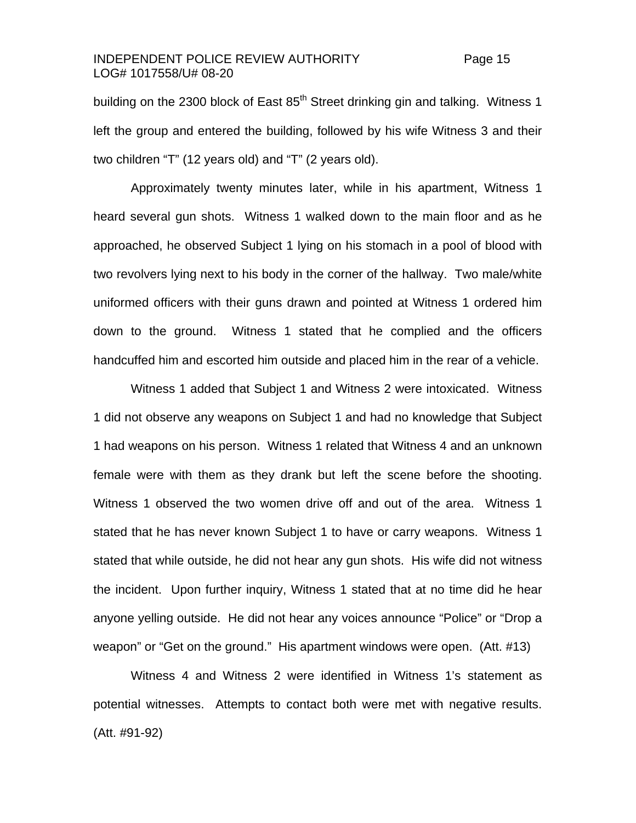### INDEPENDENT POLICE REVIEW AUTHORITY Page 15 LOG# 1017558/U# 08-20

building on the 2300 block of East  $85<sup>th</sup>$  Street drinking gin and talking. Witness 1 left the group and entered the building, followed by his wife Witness 3 and their two children "T" (12 years old) and "T" (2 years old).

 Approximately twenty minutes later, while in his apartment, Witness 1 heard several gun shots. Witness 1 walked down to the main floor and as he approached, he observed Subject 1 lying on his stomach in a pool of blood with two revolvers lying next to his body in the corner of the hallway. Two male/white uniformed officers with their guns drawn and pointed at Witness 1 ordered him down to the ground. Witness 1 stated that he complied and the officers handcuffed him and escorted him outside and placed him in the rear of a vehicle.

 Witness 1 added that Subject 1 and Witness 2 were intoxicated. Witness 1 did not observe any weapons on Subject 1 and had no knowledge that Subject 1 had weapons on his person. Witness 1 related that Witness 4 and an unknown female were with them as they drank but left the scene before the shooting. Witness 1 observed the two women drive off and out of the area. Witness 1 stated that he has never known Subject 1 to have or carry weapons. Witness 1 stated that while outside, he did not hear any gun shots. His wife did not witness the incident. Upon further inquiry, Witness 1 stated that at no time did he hear anyone yelling outside. He did not hear any voices announce "Police" or "Drop a weapon" or "Get on the ground." His apartment windows were open. (Att. #13)

 Witness 4 and Witness 2 were identified in Witness 1's statement as potential witnesses. Attempts to contact both were met with negative results. (Att. #91-92)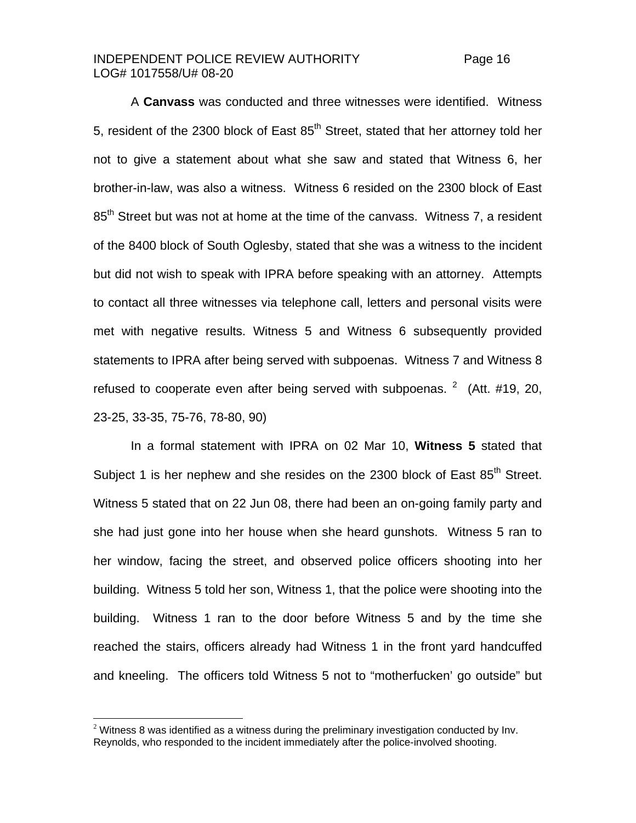### INDEPENDENT POLICE REVIEW AUTHORITY Page 16 LOG# 1017558/U# 08-20

 A **Canvass** was conducted and three witnesses were identified. Witness 5, resident of the 2300 block of East  $85<sup>th</sup>$  Street, stated that her attorney told her not to give a statement about what she saw and stated that Witness 6, her brother-in-law, was also a witness. Witness 6 resided on the 2300 block of East 85<sup>th</sup> Street but was not at home at the time of the canvass. Witness 7, a resident of the 8400 block of South Oglesby, stated that she was a witness to the incident but did not wish to speak with IPRA before speaking with an attorney. Attempts to contact all three witnesses via telephone call, letters and personal visits were met with negative results. Witness 5 and Witness 6 subsequently provided statements to IPRA after being served with subpoenas. Witness 7 and Witness 8 refused to cooperate even after being served with subpoenas.  $2 \times ($  $2 \times ($ Att. #19, 20, 23-25, 33-35, 75-76, 78-80, 90)

 In a formal statement with IPRA on 02 Mar 10, **Witness 5** stated that Subject 1 is her nephew and she resides on the 2300 block of East 85<sup>th</sup> Street. Witness 5 stated that on 22 Jun 08, there had been an on-going family party and she had just gone into her house when she heard gunshots. Witness 5 ran to her window, facing the street, and observed police officers shooting into her building. Witness 5 told her son, Witness 1, that the police were shooting into the building. Witness 1 ran to the door before Witness 5 and by the time she reached the stairs, officers already had Witness 1 in the front yard handcuffed and kneeling. The officers told Witness 5 not to "motherfucken' go outside" but

<span id="page-15-0"></span> $2$  Witness 8 was identified as a witness during the preliminary investigation conducted by Inv. Reynolds, who responded to the incident immediately after the police-involved shooting.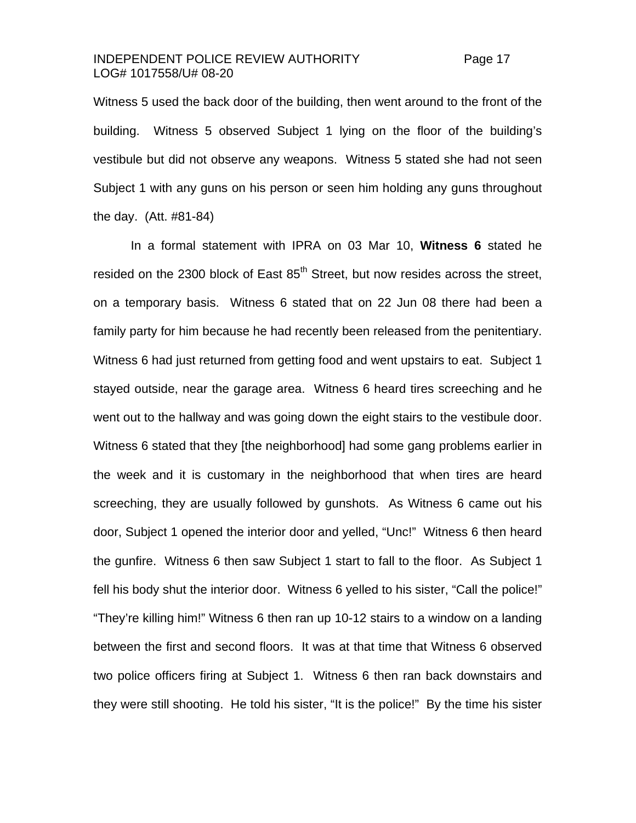#### INDEPENDENT POLICE REVIEW AUTHORITY Page 17 LOG# 1017558/U# 08-20

Witness 5 used the back door of the building, then went around to the front of the building. Witness 5 observed Subject 1 lying on the floor of the building's vestibule but did not observe any weapons. Witness 5 stated she had not seen Subject 1 with any guns on his person or seen him holding any guns throughout the day. (Att. #81-84)

 In a formal statement with IPRA on 03 Mar 10, **Witness 6** stated he resided on the 2300 block of East  $85<sup>th</sup>$  Street, but now resides across the street, on a temporary basis. Witness 6 stated that on 22 Jun 08 there had been a family party for him because he had recently been released from the penitentiary. Witness 6 had just returned from getting food and went upstairs to eat. Subject 1 stayed outside, near the garage area. Witness 6 heard tires screeching and he went out to the hallway and was going down the eight stairs to the vestibule door. Witness 6 stated that they [the neighborhood] had some gang problems earlier in the week and it is customary in the neighborhood that when tires are heard screeching, they are usually followed by gunshots. As Witness 6 came out his door, Subject 1 opened the interior door and yelled, "Unc!" Witness 6 then heard the gunfire. Witness 6 then saw Subject 1 start to fall to the floor. As Subject 1 fell his body shut the interior door. Witness 6 yelled to his sister, "Call the police!" "They're killing him!" Witness 6 then ran up 10-12 stairs to a window on a landing between the first and second floors. It was at that time that Witness 6 observed two police officers firing at Subject 1. Witness 6 then ran back downstairs and they were still shooting. He told his sister, "It is the police!" By the time his sister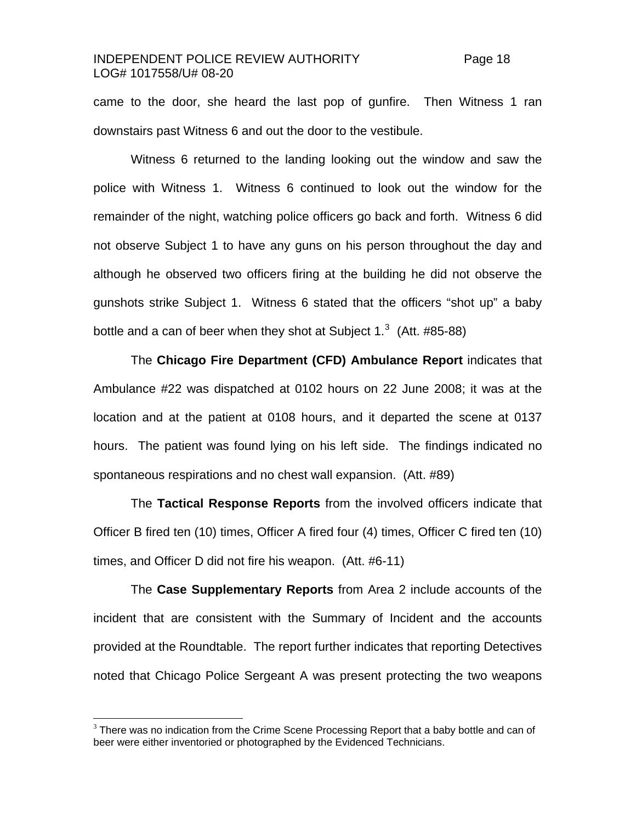### INDEPENDENT POLICE REVIEW AUTHORITY Page 18 LOG# 1017558/U# 08-20

came to the door, she heard the last pop of gunfire. Then Witness 1 ran downstairs past Witness 6 and out the door to the vestibule.

Witness 6 returned to the landing looking out the window and saw the police with Witness 1. Witness 6 continued to look out the window for the remainder of the night, watching police officers go back and forth. Witness 6 did not observe Subject 1 to have any guns on his person throughout the day and although he observed two officers firing at the building he did not observe the gunshots strike Subject 1. Witness 6 stated that the officers "shot up" a baby bottle and a can of beer when they shot at Subject 1.<sup>[3](#page-17-0)</sup> (Att. #85-88)

 The **Chicago Fire Department (CFD) Ambulance Report** indicates that Ambulance #22 was dispatched at 0102 hours on 22 June 2008; it was at the location and at the patient at 0108 hours, and it departed the scene at 0137 hours. The patient was found lying on his left side. The findings indicated no spontaneous respirations and no chest wall expansion. (Att. #89)

 The **Tactical Response Reports** from the involved officers indicate that Officer B fired ten (10) times, Officer A fired four (4) times, Officer C fired ten (10) times, and Officer D did not fire his weapon. (Att. #6-11)

 The **Case Supplementary Reports** from Area 2 include accounts of the incident that are consistent with the Summary of Incident and the accounts provided at the Roundtable. The report further indicates that reporting Detectives noted that Chicago Police Sergeant A was present protecting the two weapons

<span id="page-17-0"></span> $3$  There was no indication from the Crime Scene Processing Report that a baby bottle and can of beer were either inventoried or photographed by the Evidenced Technicians.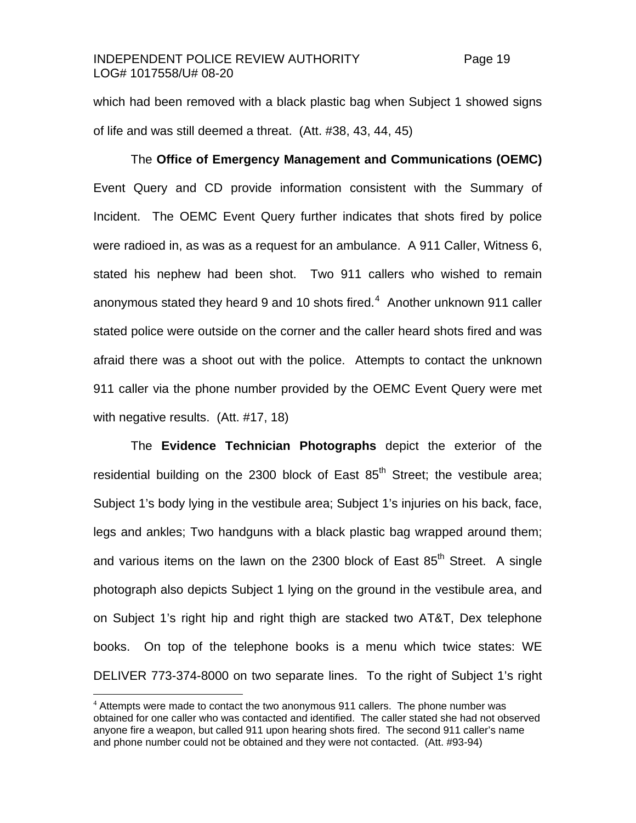### INDEPENDENT POLICE REVIEW AUTHORITY Page 19 LOG# 1017558/U# 08-20

which had been removed with a black plastic bag when Subject 1 showed signs of life and was still deemed a threat. (Att. #38, 43, 44, 45)

 The **Office of Emergency Management and Communications (OEMC)** Event Query and CD provide information consistent with the Summary of Incident. The OEMC Event Query further indicates that shots fired by police were radioed in, as was as a request for an ambulance. A 911 Caller, Witness 6, stated his nephew had been shot. Two 911 callers who wished to remain anonymous stated they heard 9 and 10 shots fired. $4\,$  $4\,$  Another unknown 911 caller stated police were outside on the corner and the caller heard shots fired and was afraid there was a shoot out with the police. Attempts to contact the unknown 911 caller via the phone number provided by the OEMC Event Query were met with negative results. (Att. #17, 18)

 The **Evidence Technician Photographs** depict the exterior of the residential building on the 2300 block of East  $85<sup>th</sup>$  Street; the vestibule area; Subject 1's body lying in the vestibule area; Subject 1's injuries on his back, face, legs and ankles; Two handguns with a black plastic bag wrapped around them; and various items on the lawn on the 2300 block of East 85<sup>th</sup> Street. A single photograph also depicts Subject 1 lying on the ground in the vestibule area, and on Subject 1's right hip and right thigh are stacked two AT&T, Dex telephone books. On top of the telephone books is a menu which twice states: WE DELIVER 773-374-8000 on two separate lines. To the right of Subject 1's right

<span id="page-18-0"></span> $4$  Attempts were made to contact the two anonymous 911 callers. The phone number was obtained for one caller who was contacted and identified. The caller stated she had not observed anyone fire a weapon, but called 911 upon hearing shots fired. The second 911 caller's name and phone number could not be obtained and they were not contacted. (Att. #93-94)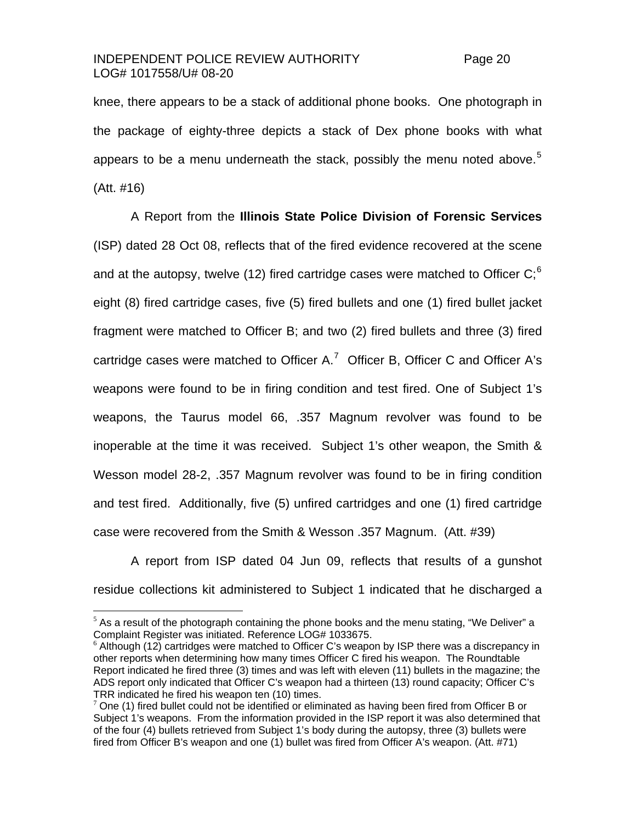#### INDEPENDENT POLICE REVIEW AUTHORITY Page 20 LOG# 1017558/U# 08-20

knee, there appears to be a stack of additional phone books. One photograph in the package of eighty-three depicts a stack of Dex phone books with what appears to be a menu underneath the stack, possibly the menu noted above.<sup>[5](#page-19-0)</sup> (Att. #16)

 A Report from the **Illinois State Police Division of Forensic Services**  (ISP) dated 28 Oct 08, reflects that of the fired evidence recovered at the scene and at the autopsy, twelve (12) fired cartridge cases were matched to Officer  $C<sup>6</sup>$  $C<sup>6</sup>$  $C<sup>6</sup>$ eight (8) fired cartridge cases, five (5) fired bullets and one (1) fired bullet jacket fragment were matched to Officer B; and two (2) fired bullets and three (3) fired cartridge cases were matched to Officer A.<sup>[7](#page-19-2)</sup> Officer B, Officer C and Officer A's weapons were found to be in firing condition and test fired. One of Subject 1's weapons, the Taurus model 66, .357 Magnum revolver was found to be inoperable at the time it was received. Subject 1's other weapon, the Smith & Wesson model 28-2, .357 Magnum revolver was found to be in firing condition and test fired. Additionally, five (5) unfired cartridges and one (1) fired cartridge case were recovered from the Smith & Wesson .357 Magnum. (Att. #39)

A report from ISP dated 04 Jun 09, reflects that results of a gunshot residue collections kit administered to Subject 1 indicated that he discharged a

<span id="page-19-0"></span> $<sup>5</sup>$  As a result of the photograph containing the phone books and the menu stating, "We Deliver" a</sup> Complaint Register was initiated. Reference LOG# 1033675.

<span id="page-19-1"></span> $6$  Although (12) cartridges were matched to Officer C's weapon by ISP there was a discrepancy in other reports when determining how many times Officer C fired his weapon. The Roundtable Report indicated he fired three (3) times and was left with eleven (11) bullets in the magazine; the ADS report only indicated that Officer C's weapon had a thirteen (13) round capacity; Officer C's TRR indicated he fired his weapon ten (10) times.

<span id="page-19-2"></span> $7$  One (1) fired bullet could not be identified or eliminated as having been fired from Officer B or Subject 1's weapons. From the information provided in the ISP report it was also determined that of the four (4) bullets retrieved from Subject 1's body during the autopsy, three (3) bullets were fired from Officer B's weapon and one (1) bullet was fired from Officer A's weapon. (Att. #71)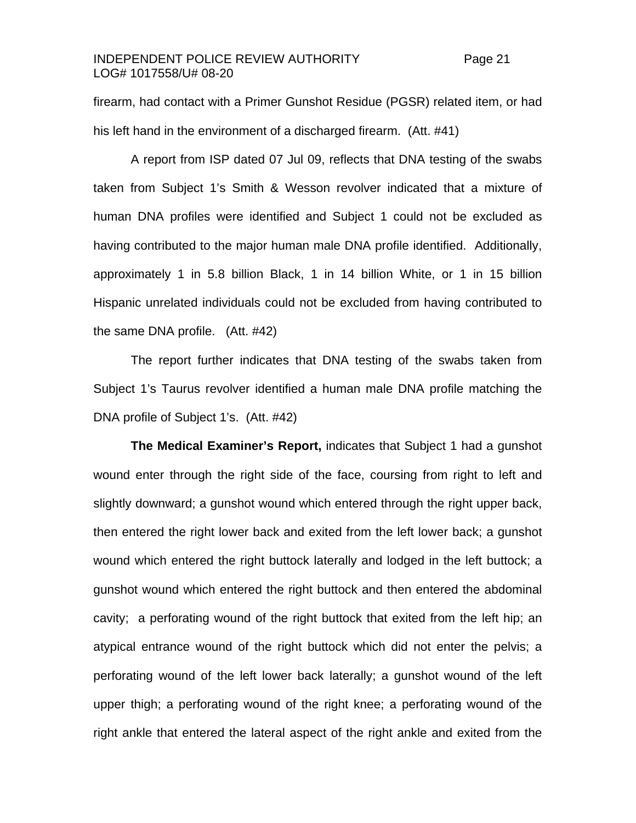### INDEPENDENT POLICE REVIEW AUTHORITY Page 21 LOG# 1017558/U# 08-20

firearm, had contact with a Primer Gunshot Residue (PGSR) related item, or had his left hand in the environment of a discharged firearm. (Att. #41)

A report from ISP dated 07 Jul 09, reflects that DNA testing of the swabs taken from Subject 1's Smith & Wesson revolver indicated that a mixture of human DNA profiles were identified and Subject 1 could not be excluded as having contributed to the major human male DNA profile identified. Additionally, approximately 1 in 5.8 billion Black, 1 in 14 billion White, or 1 in 15 billion Hispanic unrelated individuals could not be excluded from having contributed to the same DNA profile. (Att. #42)

The report further indicates that DNA testing of the swabs taken from Subject 1's Taurus revolver identified a human male DNA profile matching the DNA profile of Subject 1's. (Att. #42)

 **The Medical Examiner's Report,** indicates that Subject 1 had a gunshot wound enter through the right side of the face, coursing from right to left and slightly downward; a gunshot wound which entered through the right upper back, then entered the right lower back and exited from the left lower back; a gunshot wound which entered the right buttock laterally and lodged in the left buttock; a gunshot wound which entered the right buttock and then entered the abdominal cavity; a perforating wound of the right buttock that exited from the left hip; an atypical entrance wound of the right buttock which did not enter the pelvis; a perforating wound of the left lower back laterally; a gunshot wound of the left upper thigh; a perforating wound of the right knee; a perforating wound of the right ankle that entered the lateral aspect of the right ankle and exited from the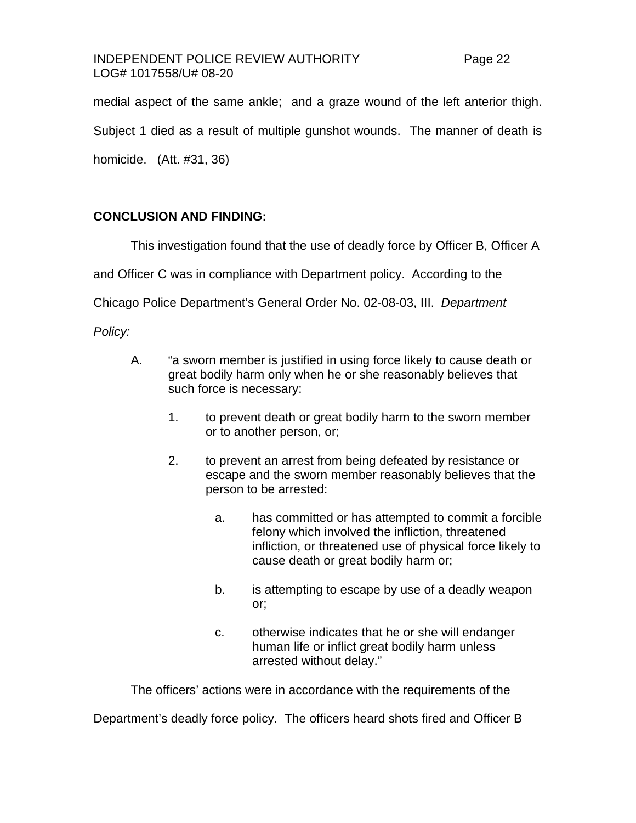### INDEPENDENT POLICE REVIEW AUTHORITY Page 22 LOG# 1017558/U# 08-20

medial aspect of the same ankle; and a graze wound of the left anterior thigh. Subject 1 died as a result of multiple gunshot wounds. The manner of death is homicide. (Att. #31, 36)

# **CONCLUSION AND FINDING:**

This investigation found that the use of deadly force by Officer B, Officer A

and Officer C was in compliance with Department policy. According to the

Chicago Police Department's General Order No. 02-08-03, III. *Department* 

*Policy:*

- A. "a sworn member is justified in using force likely to cause death or great bodily harm only when he or she reasonably believes that such force is necessary:
	- 1. to prevent death or great bodily harm to the sworn member or to another person, or;
	- 2. to prevent an arrest from being defeated by resistance or escape and the sworn member reasonably believes that the person to be arrested:
		- a. has committed or has attempted to commit a forcible felony which involved the infliction, threatened infliction, or threatened use of physical force likely to cause death or great bodily harm or;
		- b. is attempting to escape by use of a deadly weapon or;
		- c. otherwise indicates that he or she will endanger human life or inflict great bodily harm unless arrested without delay."

The officers' actions were in accordance with the requirements of the

Department's deadly force policy. The officers heard shots fired and Officer B